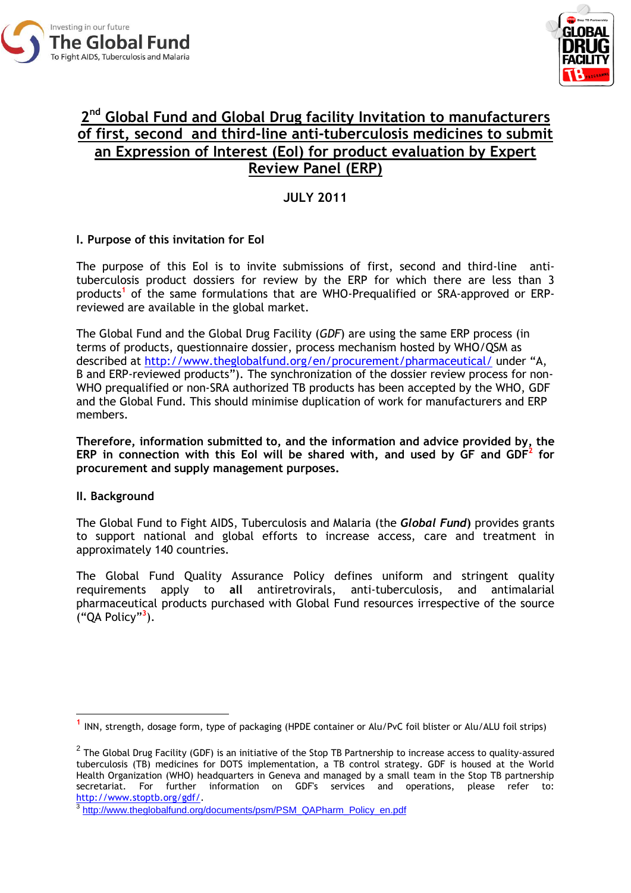



# **2 nd Global Fund and Global Drug facility Invitation to manufacturers of first, second and third-line anti-tuberculosis medicines to submit an Expression of Interest (EoI) for product evaluation by Expert Review Panel (ERP)**

**JULY 2011**

# **I. Purpose of this invitation for EoI**

The purpose of this EoI is to invite submissions of first, second and third-line antituberculosis product dossiers for review by the ERP for which there are less than 3 products**<sup>1</sup>** of the same formulations that are WHO-Prequalified or SRA-approved or ERPreviewed are available in the global market.

The Global Fund and the Global Drug Facility (*GDF*) are using the same ERP process (in terms of products, questionnaire dossier, process mechanism hosted by WHO/QSM as described at<http://www.theglobalfund.org/en/procurement/pharmaceutical/> under "A, B and ERP-reviewed products"). The synchronization of the dossier review process for non-WHO prequalified or non-SRA authorized TB products has been accepted by the WHO, GDF and the Global Fund. This should minimise duplication of work for manufacturers and ERP members.

**Therefore, information submitted to, and the information and advice provided by, the ERP in connection with this EoI will be shared with, and used by GF and GDF<sup>2</sup> for procurement and supply management purposes.**

# **II. Background**

-

The Global Fund to Fight AIDS, Tuberculosis and Malaria (the *Global Fund***)** provides grants to support national and global efforts to increase access, care and treatment in approximately 140 countries.

The Global Fund Quality Assurance Policy defines uniform and stringent quality requirements apply to **all** antiretrovirals, anti-tuberculosis, and antimalarial pharmaceutical products purchased with Global Fund resources irrespective of the source ("QA Policy"**<sup>3</sup>** ).

**<sup>1</sup>** INN, strength, dosage form, type of packaging (HPDE container or Alu/PvC foil blister or Alu/ALU foil strips)

 $^2$  The Global Drug Facility (GDF) is an initiative of the Stop TB Partnership to increase access to quality-assured tuberculosis (TB) medicines for DOTS implementation, a TB control strategy. GDF is housed at the World Health Organization (WHO) headquarters in Geneva and managed by a small team in the Stop TB partnership secretariat. For further information on GDF's services and operations, please refer to: [http://www.stoptb.org/gdf/.](http://www.stoptb.org/gdf/)

<sup>&</sup>lt;sup>3</sup> [http://www.theglobalfund.org/documents/psm/PSM\\_QAPharm\\_Policy\\_en.pdf](http://www.theglobalfund.org/documents/psm/PSM_QAPharm_Policy_en.pdf)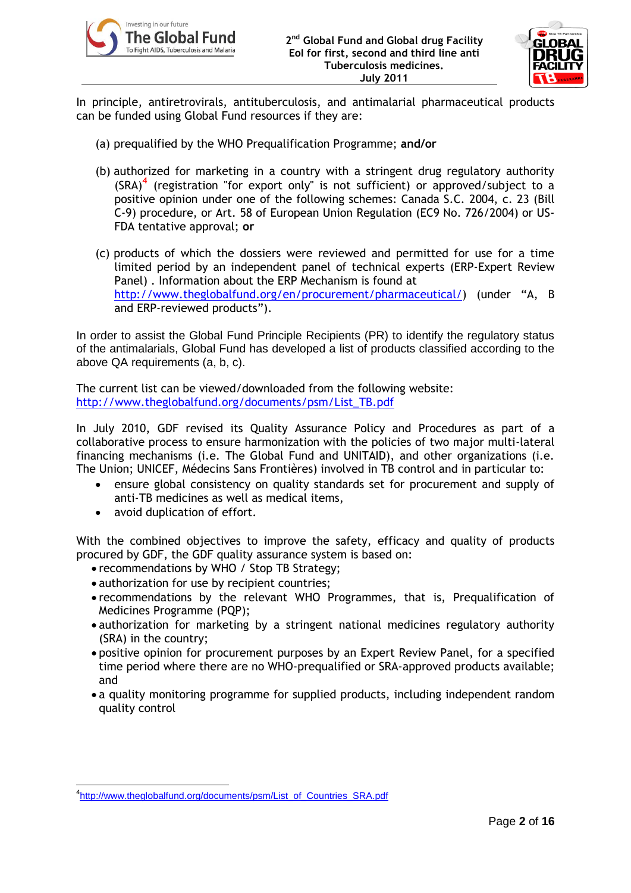



In principle, antiretrovirals, antituberculosis, and antimalarial pharmaceutical products can be funded using Global Fund resources if they are:

- (a) prequalified by the WHO Prequalification Programme; **and/or**
- (b) authorized for marketing in a country with a stringent drug regulatory authority (SRA)**<sup>4</sup>** (registration "for export only" is not sufficient) or approved/subject to a positive opinion under one of the following schemes: Canada S.C. 2004, c. 23 (Bill C-9) procedure, or Art. 58 of European Union Regulation (EC9 No. 726/2004) or US-FDA tentative approval; **or**
- (c) products of which the dossiers were reviewed and permitted for use for a time limited period by an independent panel of technical experts (ERP-Expert Review Panel) . Information about the ERP Mechanism is found at [http://www.theglobalfund.org/en/procurement/pharmaceutical/\)](http://www.theglobalfund.org/en/procurement/pharmaceutical/) (under "A, B and ERP-reviewed products").

In order to assist the Global Fund Principle Recipients (PR) to identify the regulatory status of the antimalarials, Global Fund has developed a list of products classified according to the above QA requirements (a, b, c).

The current list can be viewed/downloaded from the following website: [http://www.theglobalfund.org/documents/psm/List\\_TB.pdf](http://www.theglobalfund.org/documents/psm/List_TB.pdf)

In July 2010, GDF revised its Quality Assurance Policy and Procedures as part of a collaborative process to ensure harmonization with the policies of two major multi-lateral financing mechanisms (i.e. The Global Fund and UNITAID), and other organizations (i.e. The Union; UNICEF, Médecins Sans Frontières) involved in TB control and in particular to:

- ensure global consistency on quality standards set for procurement and supply of anti-TB medicines as well as medical items,
- avoid duplication of effort.

With the combined objectives to improve the safety, efficacy and quality of products procured by GDF, the GDF quality assurance system is based on:

- recommendations by WHO / Stop TB Strategy;
- authorization for use by recipient countries:
- recommendations by the relevant WHO Programmes, that is, Prequalification of Medicines Programme (PQP);
- authorization for marketing by a stringent national medicines regulatory authority (SRA) in the country;
- positive opinion for procurement purposes by an Expert Review Panel, for a specified time period where there are no WHO-prequalified or SRA-approved products available; and
- a quality monitoring programme for supplied products, including independent random quality control

<sup>-&</sup>lt;br><sup>4</sup>[http://www.theglobalfund.org/documents/psm/List\\_of\\_Countries\\_SRA.pdf](http://www.theglobalfund.org/documents/psm/List_of_Countries_SRA.pdf)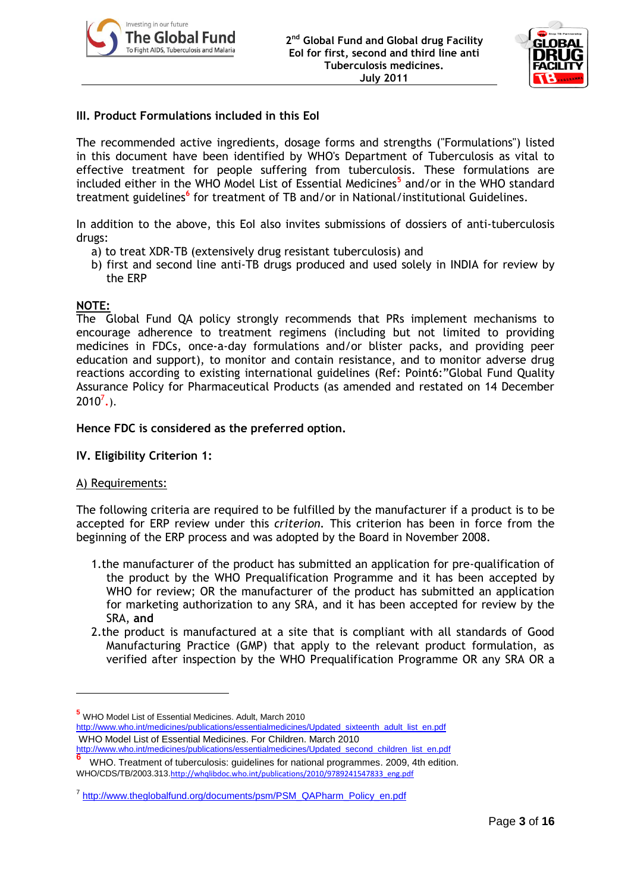



# **III. Product Formulations included in this EoI**

The recommended active ingredients, dosage forms and strengths ("Formulations") listed in this document have been identified by WHO's Department of Tuberculosis as vital to effective treatment for people suffering from tuberculosis. These formulations are included either in the WHO Model List of Essential Medicines**<sup>5</sup>** and/or in the WHO standard treatment guidelines<sup>6</sup> for treatment of TB and/or in National/institutional Guidelines.

In addition to the above, this EoI also invites submissions of dossiers of anti-tuberculosis drugs:

- a) to treat XDR-TB (extensively drug resistant tuberculosis) and
- b) first and second line anti-TB drugs produced and used solely in INDIA for review by the ERP

# **NOTE:**

The Global Fund QA policy strongly recommends that PRs implement mechanisms to encourage adherence to treatment regimens (including but not limited to providing medicines in FDCs, once-a-day formulations and/or blister packs, and providing peer education and support), to monitor and contain resistance, and to monitor adverse drug reactions according to existing international guidelines (Ref: Point6:"Global Fund Quality Assurance Policy for Pharmaceutical Products (as amended and restated on 14 December  $2010^7$ .).

**Hence FDC is considered as the preferred option.**

## **IV. Eligibility Criterion 1:**

## A) Requirements:

-

The following criteria are required to be fulfilled by the manufacturer if a product is to be accepted for ERP review under this *criterion.* This criterion has been in force from the beginning of the ERP process and was adopted by the Board in November 2008.

- 1.the manufacturer of the product has submitted an application for pre-qualification of the product by the WHO Prequalification Programme and it has been accepted by WHO for review; OR the manufacturer of the product has submitted an application for marketing authorization to any SRA, and it has been accepted for review by the SRA, **and**
- 2.the product is manufactured at a site that is compliant with all standards of Good Manufacturing Practice (GMP) that apply to the relevant product formulation, as verified after inspection by the WHO Prequalification Programme OR any SRA OR a

**<sup>5</sup>** WHO Model List of Essential Medicines. Adult, March 2010 [http://www.who.int/medicines/publications/essentialmedicines/Updated\\_sixteenth\\_adult\\_list\\_en.pdf](http://www.who.int/medicines/publications/essentialmedicines/Updated_sixteenth_adult_list_en.pdf) WHO Model List of Essential Medicines. For Children. March 2010 [http://www.who.int/medicines/publications/essentialmedicines/Updated\\_second\\_children\\_list\\_en.pdf](http://www.who.int/medicines/publications/essentialmedicines/Updated_second_children_list_en.pdf)

**<sup>6</sup>** WHO. Treatment of tuberculosis: guidelines for national programmes. 2009, 4th edition. WHO/CDS/TB/2003.313.[http://whqlibdoc.who.int/publications/2010/9789241547833\\_eng.pdf](http://whqlibdoc.who.int/publications/2010/9789241547833_eng.pdf)

<sup>&</sup>lt;sup>7</sup> [http://www.theglobalfund.org/documents/psm/PSM\\_QAPharm\\_Policy\\_en.pdf](http://www.theglobalfund.org/documents/psm/PSM_QAPharm_Policy_en.pdf)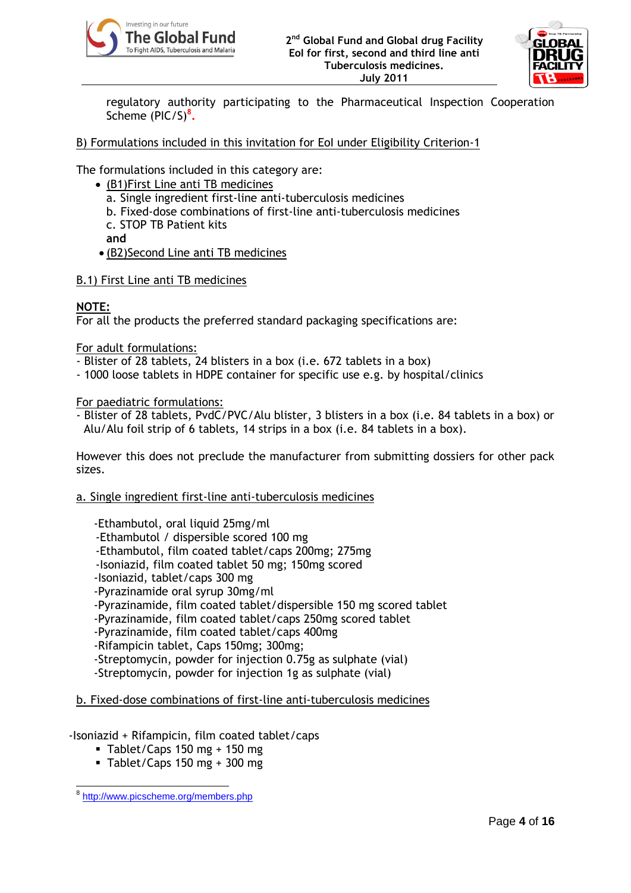



regulatory authority participating to the Pharmaceutical Inspection Cooperation Scheme (PIC/S)**<sup>8</sup> .**

# B) Formulations included in this invitation for EoI under Eligibility Criterion-1

The formulations included in this category are:

- (B1)First Line anti TB medicines
	- a. Single ingredient first-line anti-tuberculosis medicines
	- b. Fixed-dose combinations of first-line anti-tuberculosis medicines
	- c. STOP TB Patient kits

**and** 

- (B2)Second Line anti TB medicines
- B.1) First Line anti TB medicines

# **NOTE:**

For all the products the preferred standard packaging specifications are:

For adult formulations:

- Blister of 28 tablets, 24 blisters in a box (i.e. 672 tablets in a box)
- 1000 loose tablets in HDPE container for specific use e.g. by hospital/clinics

For paediatric formulations:

- Blister of 28 tablets, PvdC/PVC/Alu blister, 3 blisters in a box (i.e. 84 tablets in a box) or Alu/Alu foil strip of 6 tablets, 14 strips in a box (i.e. 84 tablets in a box).

However this does not preclude the manufacturer from submitting dossiers for other pack sizes.

#### a. Single ingredient first-line anti-tuberculosis medicines

-Ethambutol, oral liquid 25mg/ml

- -Ethambutol / dispersible scored 100 mg
- -Ethambutol, film coated tablet/caps 200mg; 275mg
- -Isoniazid, film coated tablet 50 mg; 150mg scored
- -Isoniazid, tablet/caps 300 mg

-Pyrazinamide oral syrup 30mg/ml

- -Pyrazinamide, film coated tablet/dispersible 150 mg scored tablet
- -Pyrazinamide, film coated tablet/caps 250mg scored tablet
- -Pyrazinamide, film coated tablet/caps 400mg
- -Rifampicin tablet, Caps 150mg; 300mg;
- -Streptomycin, powder for injection 0.75g as sulphate (vial)
- -Streptomycin, powder for injection 1g as sulphate (vial)

## b. Fixed-dose combinations of first-line anti-tuberculosis medicines

## -Isoniazid + Rifampicin, film coated tablet/caps

- $\blacksquare$  Tablet/Caps 150 mg + 150 mg
- $\blacksquare$  Tablet/Caps 150 mg + 300 mg

 8 <http://www.picscheme.org/members.php>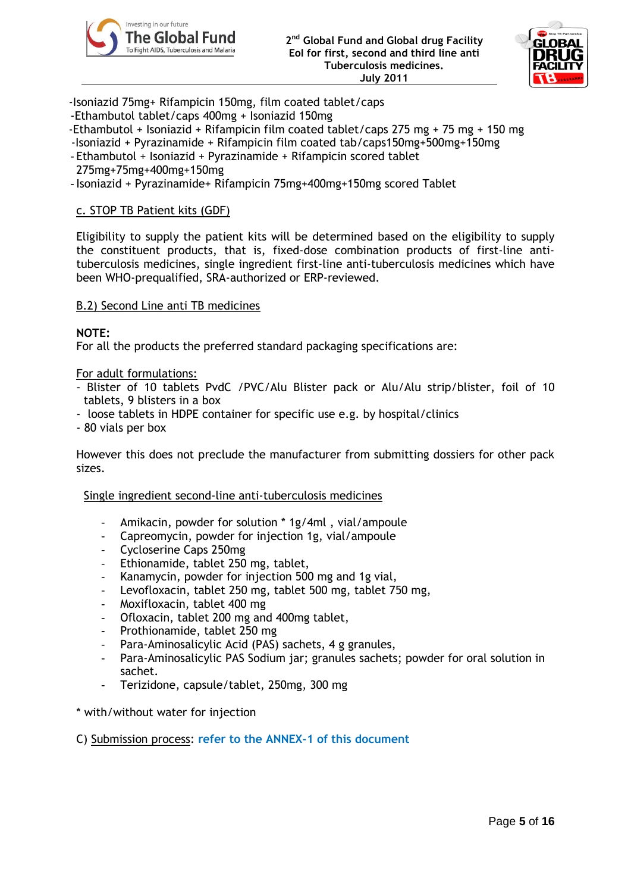



-Isoniazid 75mg+ Rifampicin 150mg, film coated tablet/caps

- -Ethambutol tablet/caps 400mg + Isoniazid 150mg
- -Ethambutol + Isoniazid + Rifampicin film coated tablet/caps 275 mg + 75 mg + 150 mg
- -Isoniazid + Pyrazinamide + Rifampicin film coated tab/caps150mg+500mg+150mg
- Ethambutol + Isoniazid + Pyrazinamide + Rifampicin scored tablet
- 275mg+75mg+400mg+150mg
- Isoniazid + Pyrazinamide+ Rifampicin 75mg+400mg+150mg scored Tablet

### c. STOP TB Patient kits (GDF)

Eligibility to supply the patient kits will be determined based on the eligibility to supply the constituent products, that is, fixed-dose combination products of first-line antituberculosis medicines, single ingredient first-line anti-tuberculosis medicines which have been WHO-prequalified, SRA-authorized or ERP-reviewed.

#### B.2) Second Line anti TB medicines

#### **NOTE:**

For all the products the preferred standard packaging specifications are:

#### For adult formulations:

- Blister of 10 tablets PvdC /PVC/Alu Blister pack or Alu/Alu strip/blister, foil of 10 tablets, 9 blisters in a box
- loose tablets in HDPE container for specific use e.g. by hospital/clinics
- 80 vials per box

However this does not preclude the manufacturer from submitting dossiers for other pack sizes.

Single ingredient second-line anti-tuberculosis medicines

- Amikacin, powder for solution \* 1g/4ml , vial/ampoule
- Capreomycin, powder for injection 1g, vial/ampoule
- Cycloserine Caps 250mg
- Ethionamide, tablet 250 mg, tablet,
- Kanamycin, powder for injection 500 mg and 1g vial.
- Levofloxacin, tablet 250 mg, tablet 500 mg, tablet 750 mg,
- Moxifloxacin, tablet 400 mg
- Ofloxacin, tablet 200 mg and 400mg tablet,
- Prothionamide, tablet 250 mg
- Para-Aminosalicylic Acid (PAS) sachets, 4 g granules,
- Para-Aminosalicylic PAS Sodium jar; granules sachets; powder for oral solution in sachet.
- Terizidone, capsule/tablet, 250mg, 300 mg
- \* with/without water for injection

C) Submission process: **refer to the ANNEX-1 of this document**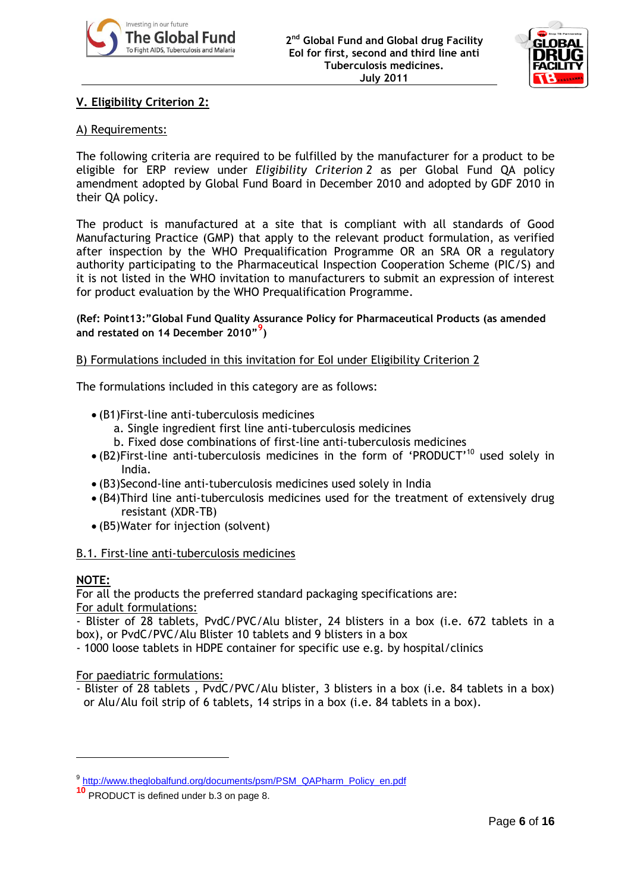



# **V. Eligibility Criterion 2:**

# A) Requirements:

The following criteria are required to be fulfilled by the manufacturer for a product to be eligible for ERP review under *Eligibility Criterion 2* as per Global Fund QA policy amendment adopted by Global Fund Board in December 2010 and adopted by GDF 2010 in their QA policy.

The product is manufactured at a site that is compliant with all standards of Good Manufacturing Practice (GMP) that apply to the relevant product formulation, as verified after inspection by the WHO Prequalification Programme OR an SRA OR a regulatory authority participating to the Pharmaceutical Inspection Cooperation Scheme (PIC/S) and it is not listed in the WHO invitation to manufacturers to submit an expression of interest for product evaluation by the WHO Prequalification Programme.

### **(Ref: Point13:"Global Fund Quality Assurance Policy for Pharmaceutical Products (as amended and restated on 14 December 2010"<sup>9</sup> )**

## B) Formulations included in this invitation for EoI under Eligibility Criterion 2

The formulations included in this category are as follows:

- (B1)First-line anti-tuberculosis medicines
	- a. Single ingredient first line anti-tuberculosis medicines
	- b. Fixed dose combinations of first-line anti-tuberculosis medicines
- $\bullet$  (B2)First-line anti-tuberculosis medicines in the form of 'PRODUCT'<sup>10</sup> used solely in India.
- (B3)Second-line anti-tuberculosis medicines used solely in India
- (B4)Third line anti-tuberculosis medicines used for the treatment of extensively drug resistant (XDR-TB)
- (B5)Water for injection (solvent)

## B.1. First-line anti-tuberculosis medicines

## **NOTE:**

-

For all the products the preferred standard packaging specifications are: For adult formulations:

- Blister of 28 tablets, PvdC/PVC/Alu blister, 24 blisters in a box (i.e. 672 tablets in a box), or PvdC/PVC/Alu Blister 10 tablets and 9 blisters in a box

- 1000 loose tablets in HDPE container for specific use e.g. by hospital/clinics

For paediatric formulations:

- Blister of 28 tablets , PvdC/PVC/Alu blister, 3 blisters in a box (i.e. 84 tablets in a box) or Alu/Alu foil strip of 6 tablets, 14 strips in a box (i.e. 84 tablets in a box).

<sup>&</sup>lt;sup>9</sup> [http://www.theglobalfund.org/documents/psm/PSM\\_QAPharm\\_Policy\\_en.pdf](http://www.theglobalfund.org/documents/psm/PSM_QAPharm_Policy_en.pdf)

**<sup>10</sup>** PRODUCT is defined under b.3 on page 8.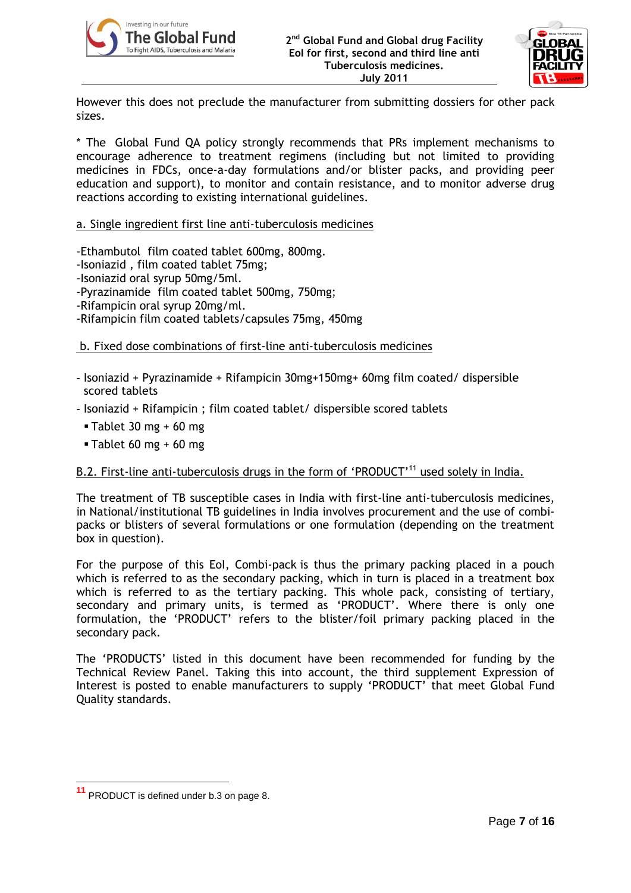



However this does not preclude the manufacturer from submitting dossiers for other pack sizes.

\* The Global Fund QA policy strongly recommends that PRs implement mechanisms to encourage adherence to treatment regimens (including but not limited to providing medicines in FDCs, once-a-day formulations and/or blister packs, and providing peer education and support), to monitor and contain resistance, and to monitor adverse drug reactions according to existing international guidelines.

#### a. Single ingredient first line anti-tuberculosis medicines

-Ethambutol film coated tablet 600mg, 800mg.

- -Isoniazid , film coated tablet 75mg;
- -Isoniazid oral syrup 50mg/5ml.
- -Pyrazinamide film coated tablet 500mg, 750mg;
- -Rifampicin oral syrup 20mg/ml.
- -Rifampicin film coated tablets/capsules 75mg, 450mg

#### b. Fixed dose combinations of first-line anti-tuberculosis medicines

- Isoniazid + Pyrazinamide + Rifampicin 30mg+150mg+ 60mg film coated/ dispersible scored tablets
- Isoniazid + Rifampicin ; film coated tablet/ dispersible scored tablets
	- $\blacksquare$  Tablet 30 mg + 60 mg
	- $\blacksquare$  Tablet 60 mg + 60 mg

## B.2. First-line anti-tuberculosis drugs in the form of 'PRODUCT'<sup>11</sup> used solely in India.

The treatment of TB susceptible cases in India with first-line anti-tuberculosis medicines, in National/institutional TB guidelines in India involves procurement and the use of combipacks or blisters of several formulations or one formulation (depending on the treatment box in question).

For the purpose of this EoI, Combi-pack is thus the primary packing placed in a pouch which is referred to as the secondary packing, which in turn is placed in a treatment box which is referred to as the tertiary packing. This whole pack, consisting of tertiary, secondary and primary units, is termed as 'PRODUCT'. Where there is only one formulation, the "PRODUCT" refers to the blister/foil primary packing placed in the secondary pack.

The "PRODUCTS" listed in this document have been recommended for funding by the Technical Review Panel. Taking this into account, the third supplement Expression of Interest is posted to enable manufacturers to supply "PRODUCT" that meet Global Fund Quality standards.

-

**<sup>11</sup>** PRODUCT is defined under b.3 on page 8.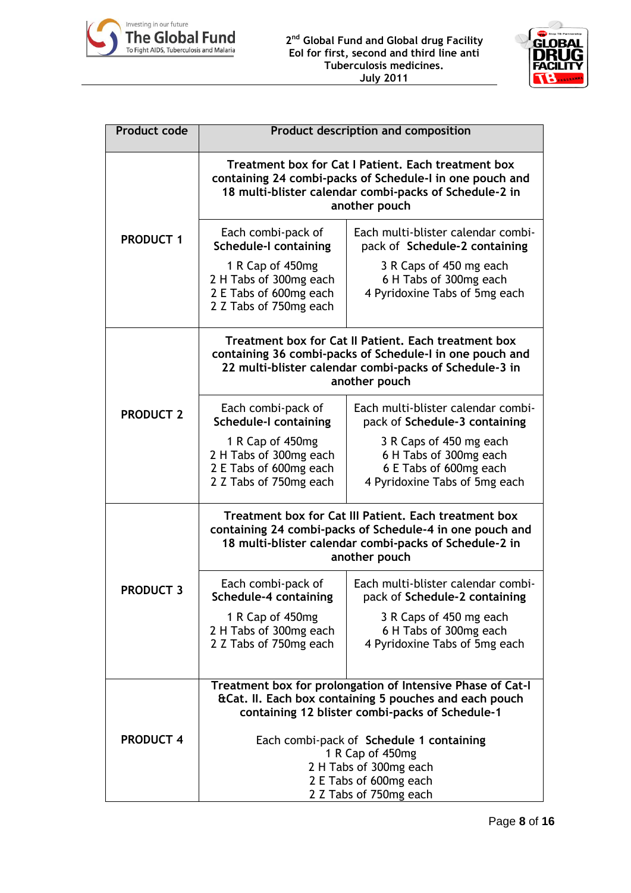



| <b>Product code</b> | <b>Product description and composition</b>                                                                                                                                                   |                                                                                                              |  |
|---------------------|----------------------------------------------------------------------------------------------------------------------------------------------------------------------------------------------|--------------------------------------------------------------------------------------------------------------|--|
|                     | Treatment box for Cat I Patient. Each treatment box<br>containing 24 combi-packs of Schedule-I in one pouch and<br>18 multi-blister calendar combi-packs of Schedule-2 in<br>another pouch   |                                                                                                              |  |
| <b>PRODUCT 1</b>    | Each combi-pack of<br><b>Schedule-I containing</b>                                                                                                                                           | Each multi-blister calendar combi-<br>pack of Schedule-2 containing                                          |  |
|                     | 1 R Cap of 450mg<br>2 H Tabs of 300mg each<br>2 E Tabs of 600mg each<br>2 Z Tabs of 750mg each                                                                                               | 3 R Caps of 450 mg each<br>6 H Tabs of 300mg each<br>4 Pyridoxine Tabs of 5mg each                           |  |
|                     | Treatment box for Cat II Patient. Each treatment box<br>containing 36 combi-packs of Schedule-I in one pouch and<br>22 multi-blister calendar combi-packs of Schedule-3 in<br>another pouch  |                                                                                                              |  |
| <b>PRODUCT 2</b>    | Each combi-pack of<br><b>Schedule-I containing</b>                                                                                                                                           | Each multi-blister calendar combi-<br>pack of Schedule-3 containing                                          |  |
|                     | 1 R Cap of 450mg<br>2 H Tabs of 300mg each<br>2 E Tabs of 600mg each<br>2 Z Tabs of 750mg each                                                                                               | 3 R Caps of 450 mg each<br>6 H Tabs of 300mg each<br>6 E Tabs of 600mg each<br>4 Pyridoxine Tabs of 5mg each |  |
|                     | Treatment box for Cat III Patient. Each treatment box<br>containing 24 combi-packs of Schedule-4 in one pouch and<br>18 multi-blister calendar combi-packs of Schedule-2 in<br>another pouch |                                                                                                              |  |
| <b>PRODUCT 3</b>    | Each combi-pack of<br>Schedule-4 containing                                                                                                                                                  | Each multi-blister calendar combi-<br>pack of Schedule-2 containing                                          |  |
|                     | 1 R Cap of 450mg<br>2 H Tabs of 300mg each<br>2 Z Tabs of 750mg each                                                                                                                         | 3 R Caps of 450 mg each<br>6 H Tabs of 300mg each<br>4 Pyridoxine Tabs of 5mg each                           |  |
|                     | Treatment box for prolongation of Intensive Phase of Cat-I<br>&Cat. II. Each box containing 5 pouches and each pouch<br>containing 12 blister combi-packs of Schedule-1                      |                                                                                                              |  |
| <b>PRODUCT 4</b>    | Each combi-pack of Schedule 1 containing<br>1 R Cap of 450mg<br>2 H Tabs of 300mg each<br>2 E Tabs of 600mg each<br>2 Z Tabs of 750mg each                                                   |                                                                                                              |  |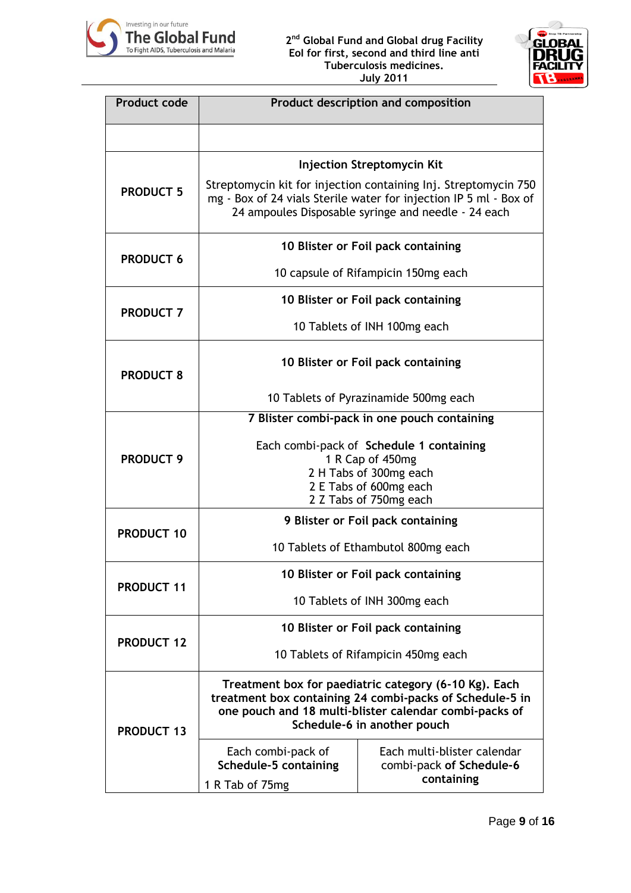



| <b>Product code</b> | Product description and composition                                                                                                                                                                        |                                                                       |  |
|---------------------|------------------------------------------------------------------------------------------------------------------------------------------------------------------------------------------------------------|-----------------------------------------------------------------------|--|
|                     |                                                                                                                                                                                                            |                                                                       |  |
| <b>PRODUCT 5</b>    | <b>Injection Streptomycin Kit</b>                                                                                                                                                                          |                                                                       |  |
|                     | Streptomycin kit for injection containing Inj. Streptomycin 750<br>mg - Box of 24 vials Sterile water for injection IP 5 ml - Box of<br>24 ampoules Disposable syringe and needle - 24 each                |                                                                       |  |
| <b>PRODUCT 6</b>    | 10 Blister or Foil pack containing                                                                                                                                                                         |                                                                       |  |
|                     | 10 capsule of Rifampicin 150mg each                                                                                                                                                                        |                                                                       |  |
| <b>PRODUCT 7</b>    |                                                                                                                                                                                                            | 10 Blister or Foil pack containing                                    |  |
|                     | 10 Tablets of INH 100mg each                                                                                                                                                                               |                                                                       |  |
| <b>PRODUCT 8</b>    | 10 Blister or Foil pack containing                                                                                                                                                                         |                                                                       |  |
|                     | 10 Tablets of Pyrazinamide 500mg each                                                                                                                                                                      |                                                                       |  |
|                     | 7 Blister combi-pack in one pouch containing                                                                                                                                                               |                                                                       |  |
| <b>PRODUCT 9</b>    | Each combi-pack of Schedule 1 containing<br>1 R Cap of 450mg<br>2 H Tabs of 300mg each<br>2 E Tabs of 600mg each<br>2 Z Tabs of 750mg each                                                                 |                                                                       |  |
| <b>PRODUCT 10</b>   | 9 Blister or Foil pack containing                                                                                                                                                                          |                                                                       |  |
|                     | 10 Tablets of Ethambutol 800mg each                                                                                                                                                                        |                                                                       |  |
| PRODUCT 11          | 10 Blister or Foil pack containing                                                                                                                                                                         |                                                                       |  |
|                     | 10 Tablets of INH 300mg each                                                                                                                                                                               |                                                                       |  |
| <b>PRODUCT 12</b>   | 10 Blister or Foil pack containing                                                                                                                                                                         |                                                                       |  |
|                     | 10 Tablets of Rifampicin 450mg each                                                                                                                                                                        |                                                                       |  |
| <b>PRODUCT 13</b>   | Treatment box for paediatric category (6-10 Kg). Each<br>treatment box containing 24 combi-packs of Schedule-5 in<br>one pouch and 18 multi-blister calendar combi-packs of<br>Schedule-6 in another pouch |                                                                       |  |
|                     | Each combi-pack of<br>Schedule-5 containing<br>1 R Tab of 75mg                                                                                                                                             | Each multi-blister calendar<br>combi-pack of Schedule-6<br>containing |  |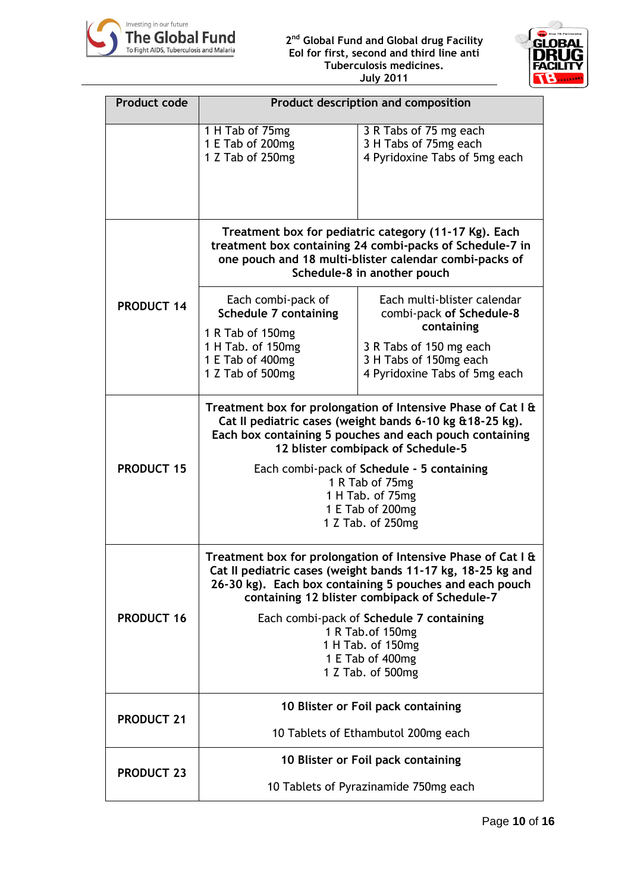



| <b>Product code</b> | Product description and composition                                                                                                                                                                                                                                                                                                                                    |                                                                                                                                                             |  |
|---------------------|------------------------------------------------------------------------------------------------------------------------------------------------------------------------------------------------------------------------------------------------------------------------------------------------------------------------------------------------------------------------|-------------------------------------------------------------------------------------------------------------------------------------------------------------|--|
|                     | 1 H Tab of 75mg<br>1 E Tab of 200mg<br>1 Z Tab of 250mg                                                                                                                                                                                                                                                                                                                | 3 R Tabs of 75 mg each<br>3 H Tabs of 75mg each<br>4 Pyridoxine Tabs of 5mg each                                                                            |  |
|                     | Treatment box for pediatric category (11-17 Kg). Each<br>treatment box containing 24 combi-packs of Schedule-7 in<br>one pouch and 18 multi-blister calendar combi-packs of<br>Schedule-8 in another pouch                                                                                                                                                             |                                                                                                                                                             |  |
| <b>PRODUCT 14</b>   | Each combi-pack of<br>Schedule 7 containing<br>1 R Tab of 150mg<br>1 H Tab. of 150mg<br>1 E Tab of 400mg<br>1 Z Tab of 500mg                                                                                                                                                                                                                                           | Each multi-blister calendar<br>combi-pack of Schedule-8<br>containing<br>3 R Tabs of 150 mg each<br>3 H Tabs of 150mg each<br>4 Pyridoxine Tabs of 5mg each |  |
| <b>PRODUCT 15</b>   | Treatment box for prolongation of Intensive Phase of Cat I &<br>Cat II pediatric cases (weight bands 6-10 kg & 18-25 kg).<br>Each box containing 5 pouches and each pouch containing<br>12 blister combipack of Schedule-5<br>Each combi-pack of Schedule - 5 containing<br>1 R Tab of 75mg<br>1 H Tab. of 75mg<br>1 E Tab of 200mg<br>1 Z Tab. of 250mg               |                                                                                                                                                             |  |
| <b>PRODUCT 16</b>   | Treatment box for prolongation of Intensive Phase of Cat I &<br>Cat II pediatric cases (weight bands 11-17 kg, 18-25 kg and<br>26-30 kg). Each box containing 5 pouches and each pouch<br>containing 12 blister combipack of Schedule-7<br>Each combi-pack of Schedule 7 containing<br>1 R Tab. of 150mg<br>1 H Tab. of 150mg<br>1 E Tab of 400mg<br>1 Z Tab. of 500mg |                                                                                                                                                             |  |
| <b>PRODUCT 21</b>   | 10 Blister or Foil pack containing<br>10 Tablets of Ethambutol 200mg each                                                                                                                                                                                                                                                                                              |                                                                                                                                                             |  |
| <b>PRODUCT 23</b>   | 10 Blister or Foil pack containing<br>10 Tablets of Pyrazinamide 750mg each                                                                                                                                                                                                                                                                                            |                                                                                                                                                             |  |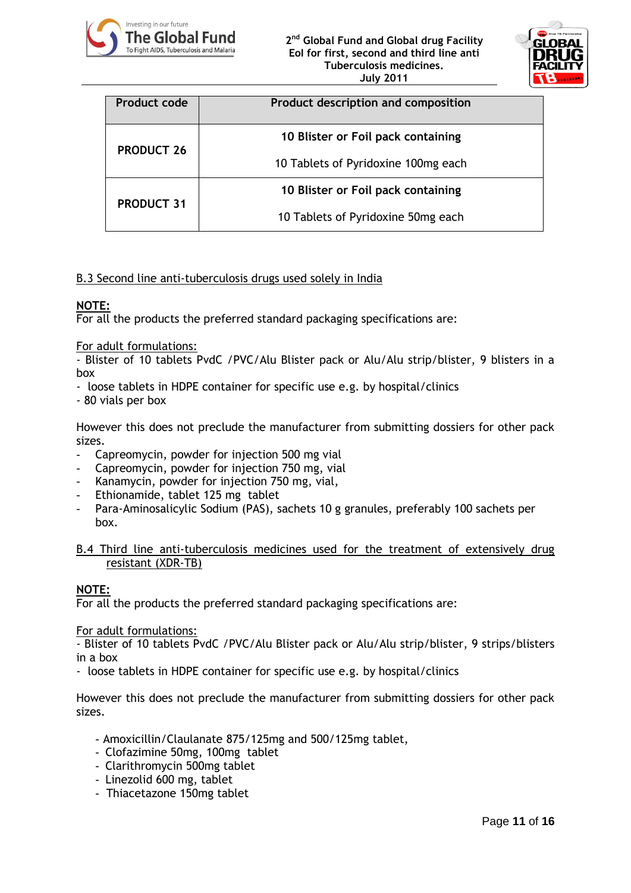



| Product code      | Product description and composition |  |
|-------------------|-------------------------------------|--|
| <b>PRODUCT 26</b> | 10 Blister or Foil pack containing  |  |
|                   | 10 Tablets of Pyridoxine 100mg each |  |
| <b>PRODUCT 31</b> | 10 Blister or Foil pack containing  |  |
|                   | 10 Tablets of Pyridoxine 50mg each  |  |

#### B.3 Second line anti-tuberculosis drugs used solely in India

## **NOTE:**

For all the products the preferred standard packaging specifications are:

#### For adult formulations:

- Blister of 10 tablets PvdC /PVC/Alu Blister pack or Alu/Alu strip/blister, 9 blisters in a box

- loose tablets in HDPE container for specific use e.g. by hospital/clinics
- 80 vials per box

However this does not preclude the manufacturer from submitting dossiers for other pack sizes.

- Capreomycin, powder for injection 500 mg vial
- Capreomycin, powder for injection 750 mg, vial
- Kanamycin, powder for injection 750 mg, vial,
- Ethionamide, tablet 125 mg tablet
- Para-Aminosalicylic Sodium (PAS), sachets 10 g granules, preferably 100 sachets per box.

#### B.4 Third line anti-tuberculosis medicines used for the treatment of extensively drug resistant (XDR-TB)

## **NOTE:**

For all the products the preferred standard packaging specifications are:

#### For adult formulations:

- Blister of 10 tablets PvdC /PVC/Alu Blister pack or Alu/Alu strip/blister, 9 strips/blisters in a box

- loose tablets in HDPE container for specific use e.g. by hospital/clinics

However this does not preclude the manufacturer from submitting dossiers for other pack sizes.

- Amoxicillin/Claulanate 875/125mg and 500/125mg tablet,
- Clofazimine 50mg, 100mg tablet
- Clarithromycin 500mg tablet
- Linezolid 600 mg, tablet
- Thiacetazone 150mg tablet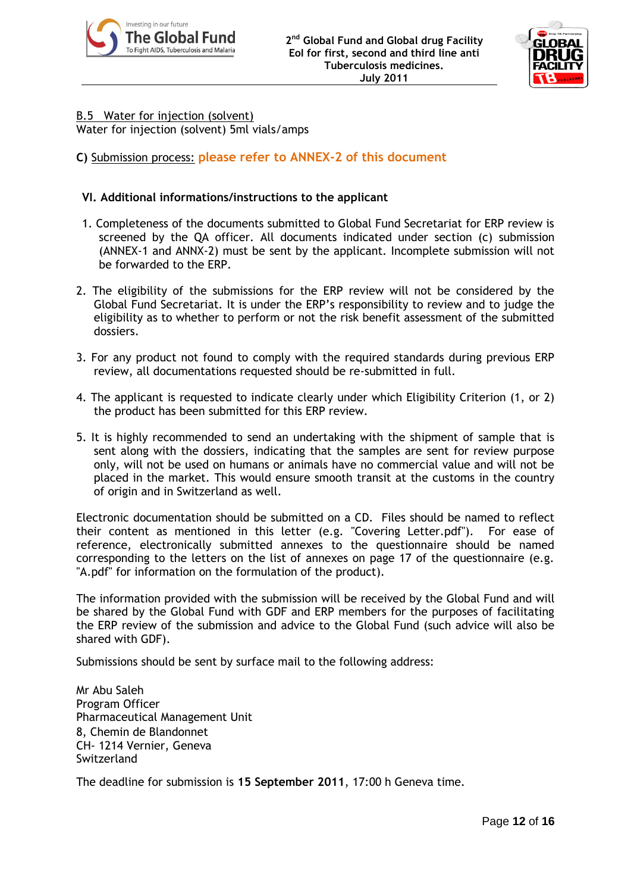



#### B.5 Water for injection (solvent) Water for injection (solvent) 5ml vials/amps

# **C)** Submission process: **please refer to ANNEX-2 of this document**

# **VI. Additional informations/instructions to the applicant**

- 1. Completeness of the documents submitted to Global Fund Secretariat for ERP review is screened by the QA officer. All documents indicated under section (c) submission (ANNEX-1 and ANNX-2) must be sent by the applicant. Incomplete submission will not be forwarded to the ERP.
- 2. The eligibility of the submissions for the ERP review will not be considered by the Global Fund Secretariat. It is under the ERP"s responsibility to review and to judge the eligibility as to whether to perform or not the risk benefit assessment of the submitted dossiers.
- 3. For any product not found to comply with the required standards during previous ERP review, all documentations requested should be re-submitted in full.
- 4. The applicant is requested to indicate clearly under which Eligibility Criterion (1, or 2) the product has been submitted for this ERP review.
- 5. It is highly recommended to send an undertaking with the shipment of sample that is sent along with the dossiers, indicating that the samples are sent for review purpose only, will not be used on humans or animals have no commercial value and will not be placed in the market. This would ensure smooth transit at the customs in the country of origin and in Switzerland as well.

Electronic documentation should be submitted on a CD. Files should be named to reflect their content as mentioned in this letter (e.g. "Covering Letter.pdf"). For ease of reference, electronically submitted annexes to the questionnaire should be named corresponding to the letters on the list of annexes on page 17 of the questionnaire (e.g. "A.pdf" for information on the formulation of the product).

The information provided with the submission will be received by the Global Fund and will be shared by the Global Fund with GDF and ERP members for the purposes of facilitating the ERP review of the submission and advice to the Global Fund (such advice will also be shared with GDF).

Submissions should be sent by surface mail to the following address:

Mr Abu Saleh Program Officer Pharmaceutical Management Unit 8, Chemin de Blandonnet CH- 1214 Vernier, Geneva Switzerland

The deadline for submission is **15 September 2011**, 17:00 h Geneva time.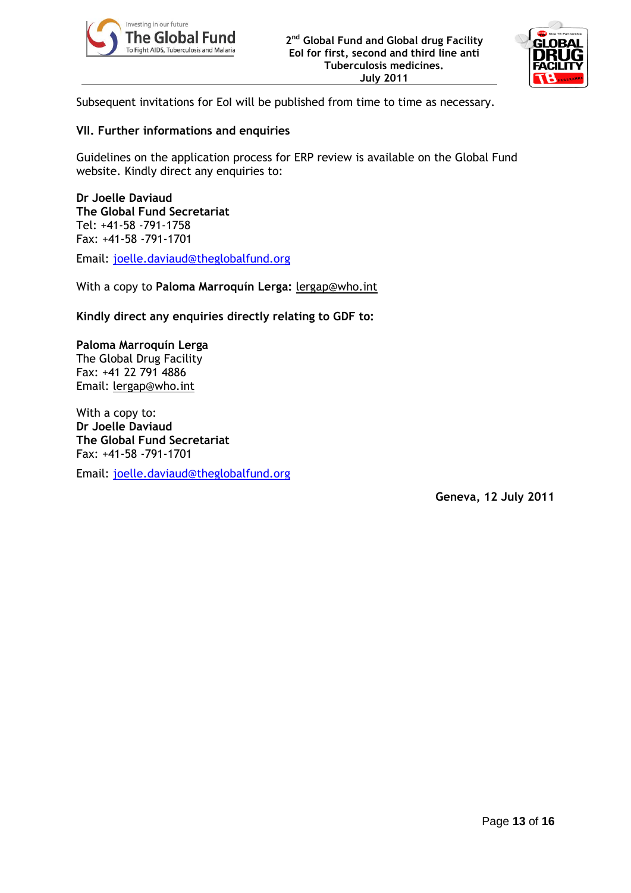



Subsequent invitations for EoI will be published from time to time as necessary.

# **VII. Further informations and enquiries**

Guidelines on the application process for ERP review is available on the Global Fund website. Kindly direct any enquiries to:

**Dr Joelle Daviaud The Global Fund Secretariat** Tel: +41-58 -791-1758 Fax: +41-58 -791-1701

Email: [joelle.daviaud@theglobalfund.org](mailto:joelle.daviaud@theglobalfund.org)

With a copy to **Paloma Marroquín Lerga:** [lergap@who.int](mailto:lergap@who.int)

**Kindly direct any enquiries directly relating to GDF to:**

**Paloma Marroquín Lerga**  The Global Drug Facility Fax: +41 22 791 4886 Email: [lergap@who.int](mailto:lergap@who.int)

With a copy to: **Dr Joelle Daviaud The Global Fund Secretariat** Fax: +41-58 -791-1701

Email: [joelle.daviaud@theglobalfund.org](mailto:joelle.daviaud@theglobalfund.org)

**Geneva, 12 July 2011**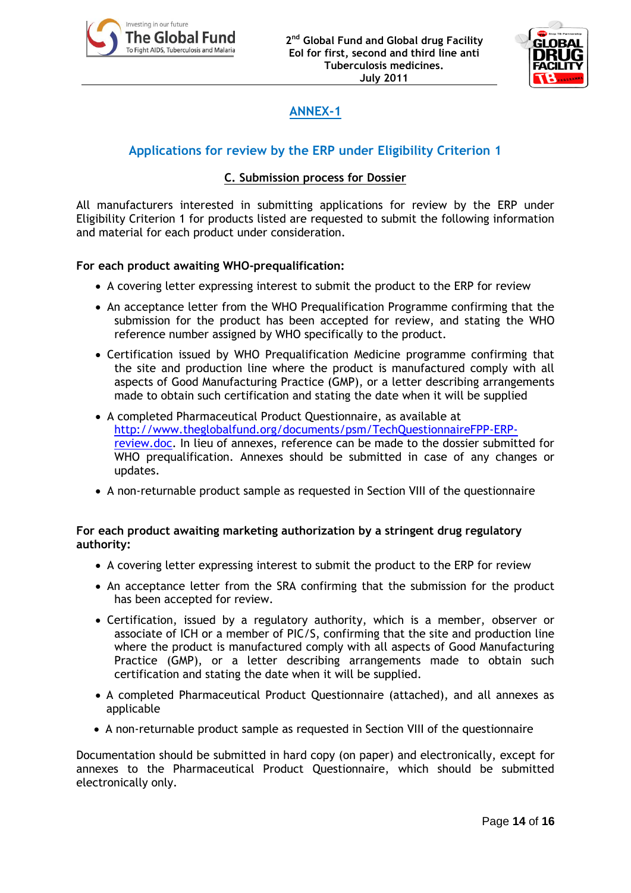



# **ANNEX-1**

# **Applications for review by the ERP under Eligibility Criterion 1**

## **C. Submission process for Dossier**

All manufacturers interested in submitting applications for review by the ERP under Eligibility Criterion 1 for products listed are requested to submit the following information and material for each product under consideration.

## **For each product awaiting WHO-prequalification:**

- A covering letter expressing interest to submit the product to the ERP for review
- An acceptance letter from the WHO Prequalification Programme confirming that the submission for the product has been accepted for review, and stating the WHO reference number assigned by WHO specifically to the product.
- Certification issued by WHO Prequalification Medicine programme confirming that the site and production line where the product is manufactured comply with all aspects of Good Manufacturing Practice (GMP), or a letter describing arrangements made to obtain such certification and stating the date when it will be supplied
- A completed Pharmaceutical Product Questionnaire, as available at [http://www.theglobalfund.org/documents/psm/TechQuestionnaireFPP-ERP](http://www.theglobalfund.org/documents/psm/TechQuestionnaireFPP-ERP-review.doc)[review.doc.](http://www.theglobalfund.org/documents/psm/TechQuestionnaireFPP-ERP-review.doc) In lieu of annexes, reference can be made to the dossier submitted for WHO prequalification. Annexes should be submitted in case of any changes or updates.
- A non-returnable product sample as requested in Section VIII of the questionnaire

## **For each product awaiting marketing authorization by a stringent drug regulatory authority:**

- A covering letter expressing interest to submit the product to the ERP for review
- An acceptance letter from the SRA confirming that the submission for the product has been accepted for review.
- Certification, issued by a regulatory authority, which is a member, observer or associate of ICH or a member of PIC/S, confirming that the site and production line where the product is manufactured comply with all aspects of Good Manufacturing Practice (GMP), or a letter describing arrangements made to obtain such certification and stating the date when it will be supplied.
- A completed Pharmaceutical Product Questionnaire (attached), and all annexes as applicable
- A non-returnable product sample as requested in Section VIII of the questionnaire

Documentation should be submitted in hard copy (on paper) and electronically, except for annexes to the Pharmaceutical Product Questionnaire, which should be submitted electronically only.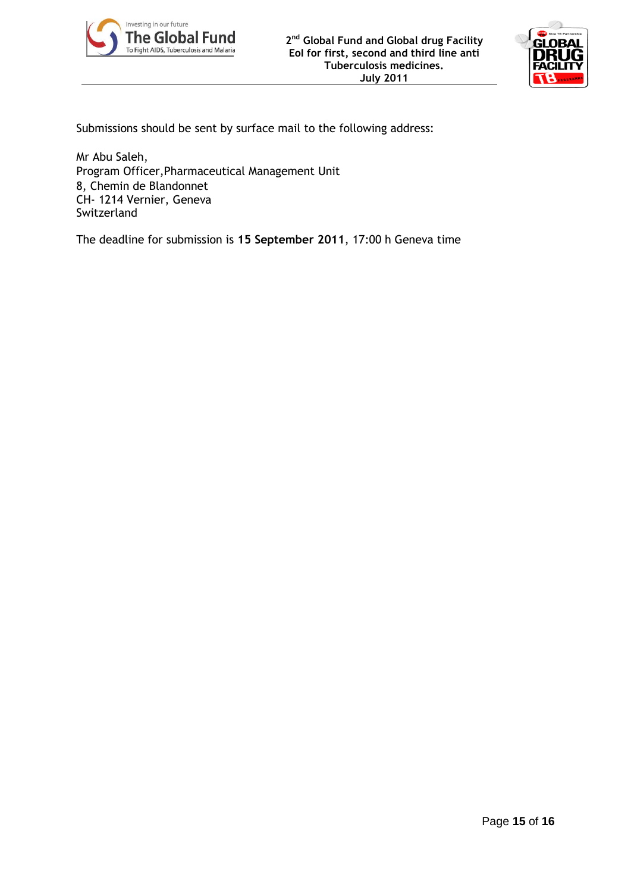



Submissions should be sent by surface mail to the following address:

Mr Abu Saleh, Program Officer,Pharmaceutical Management Unit 8, Chemin de Blandonnet CH- 1214 Vernier, Geneva Switzerland

The deadline for submission is **15 September 2011**, 17:00 h Geneva time